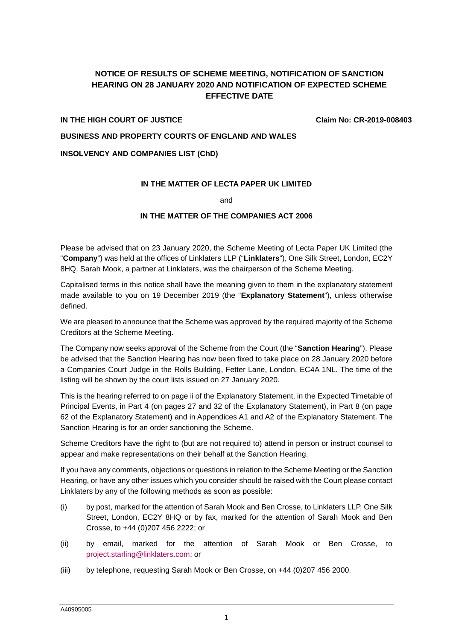# **NOTICE OF RESULTS OF SCHEME MEETING, NOTIFICATION OF SANCTION HEARING ON 28 JANUARY 2020 AND NOTIFICATION OF EXPECTED SCHEME EFFECTIVE DATE**

## **IN THE HIGH COURT OF JUSTICE COURT COURT AT LACK CONSERVANT COURT OF JUSTICE CONSERVANT COMPUTER**

### **BUSINESS AND PROPERTY COURTS OF ENGLAND AND WALES**

### **INSOLVENCY AND COMPANIES LIST (ChD)**

### **IN THE MATTER OF LECTA PAPER UK LIMITED**

and

### **IN THE MATTER OF THE COMPANIES ACT 2006**

Please be advised that on 23 January 2020, the Scheme Meeting of Lecta Paper UK Limited (the "**Company**") was held at the offices of Linklaters LLP ("**Linklaters**"), One Silk Street, London, EC2Y 8HQ. Sarah Mook, a partner at Linklaters, was the chairperson of the Scheme Meeting.

Capitalised terms in this notice shall have the meaning given to them in the explanatory statement made available to you on 19 December 2019 (the "**Explanatory Statement**"), unless otherwise defined.

We are pleased to announce that the Scheme was approved by the required majority of the Scheme Creditors at the Scheme Meeting.

The Company now seeks approval of the Scheme from the Court (the "**Sanction Hearing**"). Please be advised that the Sanction Hearing has now been fixed to take place on 28 January 2020 before a Companies Court Judge in the Rolls Building, Fetter Lane, London, EC4A 1NL. The time of the listing will be shown by the court lists issued on 27 January 2020.

This is the hearing referred to on page ii of the Explanatory Statement, in the Expected Timetable of Principal Events, in Part 4 (on pages 27 and 32 of the Explanatory Statement), in Part 8 (on page 62 of the Explanatory Statement) and in Appendices A1 and A2 of the Explanatory Statement. The Sanction Hearing is for an order sanctioning the Scheme.

Scheme Creditors have the right to (but are not required to) attend in person or instruct counsel to appear and make representations on their behalf at the Sanction Hearing.

If you have any comments, objections or questions in relation to the Scheme Meeting or the Sanction Hearing, or have any other issues which you consider should be raised with the Court please contact Linklaters by any of the following methods as soon as possible:

- (i) by post, marked for the attention of Sarah Mook and Ben Crosse, to Linklaters LLP, One Silk Street, London, EC2Y 8HQ or by fax, marked for the attention of Sarah Mook and Ben Crosse, to +44 (0)207 456 2222; or
- (ii) by email, marked for the attention of Sarah Mook or Ben Crosse, to [project.starling@linklaters.com;](mailto:project.starling@linklaters.com) or
- (iii) by telephone, requesting Sarah Mook or Ben Crosse, on +44 (0)207 456 2000.